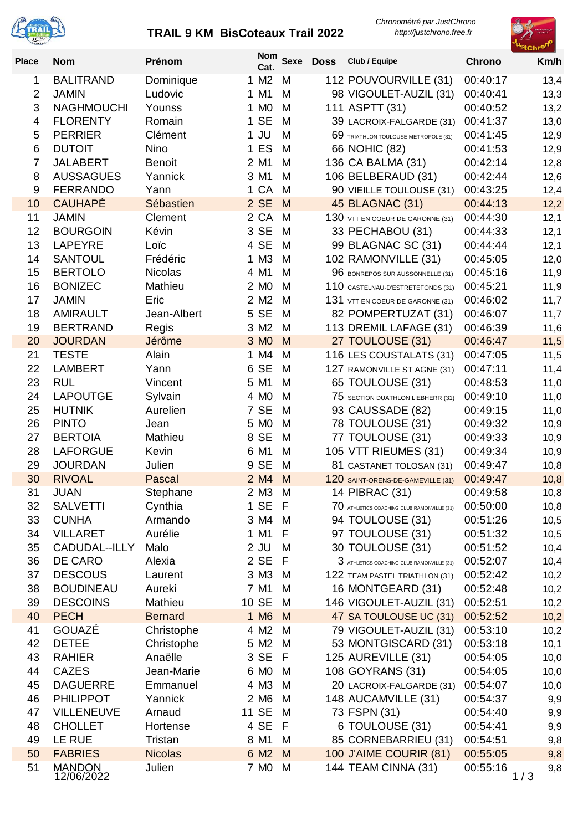

## **TRAIL 9 KM BisCoteaux Trail 2022**

*Chronométré par JustChrono http://justchrono.free.fr*



| <b>Place</b>   | <b>Nom</b>                      | Prénom              | Nom<br>Cat.      | <b>Sexe</b> | <b>Doss</b> | Club / Equipe                                                  | <b>Chrono</b>        | Km/h         |
|----------------|---------------------------------|---------------------|------------------|-------------|-------------|----------------------------------------------------------------|----------------------|--------------|
| 1              | <b>BALITRAND</b>                | Dominique           | 1 M <sub>2</sub> | M           |             | 112 POUVOURVILLE (31)                                          | 00:40:17             | 13,4         |
| $\overline{2}$ | <b>JAMIN</b>                    | Ludovic             | 1 M1             | M           |             | 98 VIGOULET-AUZIL (31)                                         | 00:40:41             | 13,3         |
| 3              | <b>NAGHMOUCHI</b>               | Younss              | 1 M <sub>0</sub> | M           |             | 111 ASPTT (31)                                                 | 00:40:52             | 13,2         |
| 4              | <b>FLORENTY</b>                 | Romain              | 1 SE             | М           |             | 39 LACROIX-FALGARDE (31)                                       | 00:41:37             | 13,0         |
| 5              | <b>PERRIER</b>                  | Clément             | $1$ JU           | M           |             | 69 TRIATHLON TOULOUSE METROPOLE (31)                           | 00:41:45             | 12,9         |
| 6              | <b>DUTOIT</b>                   | Nino                | 1 ES             | M           |             | 66 NOHIC (82)                                                  | 00:41:53             | 12,9         |
| $\overline{7}$ | <b>JALABERT</b>                 | <b>Benoit</b>       | 2 M1             | M           |             | 136 CA BALMA (31)                                              | 00:42:14             | 12,8         |
| 8              | <b>AUSSAGUES</b>                | Yannick             | 3 M1             | M           |             | 106 BELBERAUD (31)                                             | 00:42:44             | 12,6         |
| 9              | <b>FERRANDO</b>                 | Yann                | 1 CA             | M           |             | 90 VIEILLE TOULOUSE (31)                                       | 00:43:25             | 12,4         |
| 10             | <b>CAUHAPÉ</b>                  | Sébastien           | 2 SE             | M           |             | 45 BLAGNAC (31)                                                | 00:44:13             | 12,2         |
| 11             | <b>JAMIN</b>                    | Clement             | 2 CA             | M           |             | 130 VTT EN COEUR DE GARONNE (31)                               | 00:44:30             | 12,1         |
| 12             | <b>BOURGOIN</b>                 | Kévin               | 3 SE             | M           |             | 33 PECHABOU (31)                                               | 00:44:33             | 12,1         |
| 13             | <b>LAPEYRE</b>                  | Loïc                | 4 SE             | M           |             | 99 BLAGNAC SC (31)                                             | 00:44:44             | 12,1         |
| 14             | <b>SANTOUL</b>                  | Frédéric            | 1 M3             | M           |             | 102 RAMONVILLE (31)                                            | 00:45:05             | 12,0         |
| 15             | <b>BERTOLO</b>                  | <b>Nicolas</b>      | 4 M1             | M           |             | 96 BONREPOS SUR AUSSONNELLE (31)                               | 00:45:16             | 11,9         |
| 16             | <b>BONIZEC</b>                  | Mathieu             | 2 M <sub>0</sub> | M           |             | 110 CASTELNAU-D'ESTRETEFONDS (31)                              | 00:45:21             | 11,9         |
| 17             | <b>JAMIN</b>                    | Eric                | 2 M <sub>2</sub> | M           |             | 131 VTT EN COEUR DE GARONNE (31)                               | 00:46:02             | 11,7         |
| 18             | <b>AMIRAULT</b>                 | Jean-Albert         | 5 SE             | M           |             | 82 POMPERTUZAT (31)                                            | 00:46:07             | 11,7         |
| 19             | <b>BERTRAND</b>                 | Regis               | 3 M2             | M           |             | 113 DREMIL LAFAGE (31)                                         | 00:46:39             | 11,6         |
| 20             | <b>JOURDAN</b>                  | Jérôme              | 3 M <sub>0</sub> | M           |             | 27 TOULOUSE (31)                                               | 00:46:47             | 11,5         |
| 21             | <b>TESTE</b>                    | Alain               | 1 M4             | M           |             | 116 LES COUSTALATS (31)                                        | 00:47:05             | 11,5         |
| 22             | <b>LAMBERT</b>                  | Yann                | 6 SE             | M           |             | 127 RAMONVILLE ST AGNE (31)                                    | 00:47:11             | 11,4         |
| 23             | <b>RUL</b>                      | Vincent             | 5 M1             | M           |             | 65 TOULOUSE (31)                                               | 00:48:53             | 11,0         |
| 24             | <b>LAPOUTGE</b>                 | Sylvain             | 4 M <sub>0</sub> | M           |             | 75 SECTION DUATHLON LIEBHERR (31)                              | 00:49:10             | 11,0         |
| 25             | <b>HUTNIK</b>                   | Aurelien            | 7 SE             | M           |             | 93 CAUSSADE (82)                                               | 00:49:15             | 11,0         |
| 26             | <b>PINTO</b>                    | Jean                | 5 M <sub>0</sub> | M           |             | 78 TOULOUSE (31)                                               | 00:49:32             | 10,9         |
| 27             | <b>BERTOIA</b>                  | Mathieu             | 8 SE             | M           |             | 77 TOULOUSE (31)                                               | 00:49:33             | 10,9         |
| 28             | <b>LAFORGUE</b>                 | Kevin               | 6 M1             | M           |             | 105 VTT RIEUMES (31)                                           | 00:49:34             | 10,9         |
| 29<br>30       | <b>JOURDAN</b><br><b>RIVOAL</b> | Julien              | 9 SE<br>2 M4     | M<br>M      |             | 81 CASTANET TOLOSAN (31)                                       | 00:49:47             | 10,8         |
| 31             | <b>JUAN</b>                     | Pascal              |                  | M           |             | 120 SAINT-ORENS-DE-GAMEVILLE (31)<br>14 PIBRAC (31)            | 00:49:47             | 10,8         |
| 32             | <b>SALVETTI</b>                 | Stephane<br>Cynthia | 2 M3<br>1 SE F   |             |             |                                                                | 00:49:58<br>00:50:00 | 10,8         |
| 33             | <b>CUNHA</b>                    | Armando             | 3 M4             | M           |             | 70 ATHLETICS COACHING CLUB RAMONVILLE (31)<br>94 TOULOUSE (31) | 00:51:26             | 10,8<br>10,5 |
| 34             | <b>VILLARET</b>                 | Aurélie             | 1 M1             | F           |             | 97 TOULOUSE (31)                                               | 00:51:32             | 10,5         |
| 35             | CADUDAL--ILLY                   | Malo                | $2$ JU           | M           |             | 30 TOULOUSE (31)                                               | 00:51:52             | 10,4         |
| 36             | DE CARO                         | Alexia              | 2 SE             | -F          |             | 3 ATHLETICS COACHING CLUB RAMONVILLE (31)                      | 00:52:07             | 10,4         |
| 37             | <b>DESCOUS</b>                  | Laurent             | 3 M3             | M           |             | 122 TEAM PASTEL TRIATHLON (31)                                 | 00:52:42             | 10,2         |
| 38             | <b>BOUDINEAU</b>                | Aureki              | 7 M1             | M           |             | 16 MONTGEARD (31)                                              | 00:52:48             | 10,2         |
| 39             | <b>DESCOINS</b>                 | Mathieu             | 10 SE            | M           |             | 146 VIGOULET-AUZIL (31)                                        | 00:52:51             | 10,2         |
| 40             | <b>PECH</b>                     | <b>Bernard</b>      | 1 M <sub>6</sub> | M           |             | 47 SA TOULOUSE UC (31)                                         | 00:52:52             | 10,2         |
| 41             | GOUAZÉ                          | Christophe          | 4 M2             | M           |             | 79 VIGOULET-AUZIL (31)                                         | 00:53:10             | 10,2         |
| 42             | <b>DETEE</b>                    | Christophe          | 5 M2             | M           |             | 53 MONTGISCARD (31)                                            | 00:53:18             | 10,1         |
| 43             | <b>RAHIER</b>                   | Anaëlle             | 3 SE             | -F          |             | 125 AUREVILLE (31)                                             | 00:54:05             | 10,0         |
| 44             | <b>CAZES</b>                    | Jean-Marie          | 6 M <sub>0</sub> | M           |             | 108 GOYRANS (31)                                               | 00:54:05             | 10,0         |
| 45             | <b>DAGUERRE</b>                 | Emmanuel            | 4 M3             | M           |             | 20 LACROIX-FALGARDE (31)                                       | 00:54:07             | 10,0         |
| 46             | <b>PHILIPPOT</b>                | Yannick             | 2 M <sub>6</sub> | M           |             | 148 AUCAMVILLE (31)                                            | 00:54:37             | 9,9          |
| 47             | <b>VILLENEUVE</b>               | Arnaud              | 11 SE            | M           |             | 73 FSPN (31)                                                   | 00:54:40             | 9,9          |
| 48             | <b>CHOLLET</b>                  | Hortense            | 4 SE             | -F          |             | 6 TOULOUSE (31)                                                | 00:54:41             | 9,9          |
| 49             | LE RUE                          | Tristan             | 8 M1             | M           |             | 85 CORNEBARRIEU (31)                                           | 00:54:51             | 9,8          |
| 50             | <b>FABRIES</b>                  | <b>Nicolas</b>      | 6 M <sub>2</sub> | M           |             | 100 J'AIME COURIR (81)                                         | 00:55:05             | 9,8          |
| 51             | <b>MANDON</b><br>12/06/2022     | Julien              | 7 M <sub>0</sub> | M           |             | 144 TEAM CINNA (31)                                            | 00:55:16             | 9,8<br>1/3   |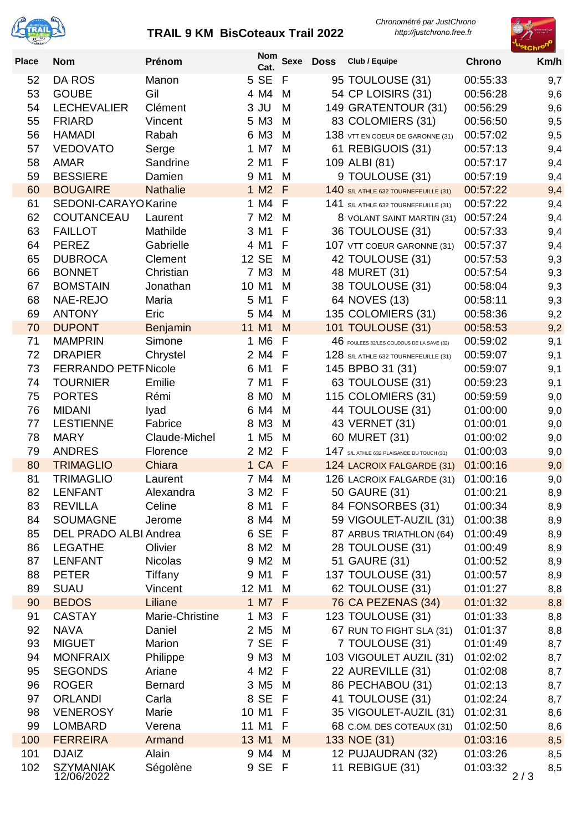

## **TRAIL 9 KM BisCoteaux Trail 2022**

*Chronométré par JustChrono http://justchrono.free.fr*



| <b>Place</b> | <b>Nom</b>                     | Prénom                    | <b>Nom</b><br>Cat.       | <b>Sexe</b> | <b>Doss</b> | Club / Equipe                                                  | <b>Chrono</b>        | Km/h       |
|--------------|--------------------------------|---------------------------|--------------------------|-------------|-------------|----------------------------------------------------------------|----------------------|------------|
| 52           | DA ROS                         | Manon                     | 5 SE                     | F           |             | 95 TOULOUSE (31)                                               | 00:55:33             | 9,7        |
| 53           | <b>GOUBE</b>                   | Gil                       | 4 M4                     | M           |             | 54 CP LOISIRS (31)                                             | 00:56:28             | 9,6        |
| 54           | <b>LECHEVALIER</b>             | Clément                   | $3$ JU                   | M           |             | 149 GRATENTOUR (31)                                            | 00:56:29             | 9,6        |
| 55           | <b>FRIARD</b>                  | Vincent                   | 5 M3                     | M           |             | 83 COLOMIERS (31)                                              | 00:56:50             | 9,5        |
| 56           | <b>HAMADI</b>                  | Rabah                     | 6 M3                     | M           |             | 138 VTT EN COEUR DE GARONNE (31)                               | 00:57:02             | 9,5        |
| 57           | <b>VEDOVATO</b>                | Serge                     | 1 M7                     | M           |             | 61 REBIGUOIS (31)                                              | 00:57:13             | 9,4        |
| 58           | <b>AMAR</b>                    | Sandrine                  | 2 M1                     | F           |             | 109 ALBI (81)                                                  | 00:57:17             | 9,4        |
| 59           | <b>BESSIERE</b>                | Damien                    | 9 M1                     | M           |             | 9 TOULOUSE (31)                                                | 00:57:19             | 9,4        |
| 60           | <b>BOUGAIRE</b>                | <b>Nathalie</b>           | 1 M <sub>2</sub>         | F           |             | 140 S/L ATHLE 632 TOURNEFEUILLE (31)                           | 00:57:22             | 9,4        |
| 61           | SEDONI-CARAYO Karine           |                           | 1 M4                     | F           |             | 141 S/L ATHLE 632 TOURNEFEUILLE (31)                           | 00:57:22             | 9,4        |
| 62           | COUTANCEAU                     | Laurent                   | 7 M <sub>2</sub>         | M           |             | 8 VOLANT SAINT MARTIN (31)                                     | 00:57:24             | 9,4        |
| 63           | <b>FAILLOT</b>                 | Mathilde                  | 3 M1                     | F           |             | 36 TOULOUSE (31)                                               | 00:57:33             | 9,4        |
| 64           | <b>PEREZ</b>                   | Gabrielle                 | 4 M1                     | F           |             | 107 VTT COEUR GARONNE (31)                                     | 00:57:37             | 9,4        |
| 65           | <b>DUBROCA</b>                 | Clement                   | 12 SE                    | M           |             | 42 TOULOUSE (31)                                               | 00:57:53             | 9,3        |
| 66           | <b>BONNET</b>                  | Christian                 | 7 M3                     | M           |             | 48 MURET (31)                                                  | 00:57:54             | 9,3        |
| 67           | <b>BOMSTAIN</b>                | Jonathan                  | 10 M1                    | M           |             | 38 TOULOUSE (31)                                               | 00:58:04             | 9,3        |
| 68           | NAE-REJO                       | Maria                     | 5 M1                     | F           |             | 64 NOVES (13)                                                  | 00:58:11             | 9,3        |
| 69<br>70     | <b>ANTONY</b><br><b>DUPONT</b> | Eric                      | 5 M4<br>11 M1            | M<br>M      |             | 135 COLOMIERS (31)                                             | 00:58:36             | 9,2        |
| 71           | <b>MAMPRIN</b>                 | <b>Benjamin</b><br>Simone | 1 M6                     | F           |             | 101 TOULOUSE (31)<br>46 FOULEES 32/LES COUDOUS DE LA SAVE (32) | 00:58:53<br>00:59:02 | 9,2<br>9,1 |
| 72           | <b>DRAPIER</b>                 | Chrystel                  | 2 M4                     | F           |             | 128 S/L ATHLE 632 TOURNEFEUILLE (31)                           | 00:59:07             | 9,1        |
| 73           | <b>FERRANDO PETF Nicole</b>    |                           | 6 M1                     | F           |             | 145 BPBO 31 (31)                                               | 00:59:07             | 9,1        |
| 74           | <b>TOURNIER</b>                | Emilie                    | 7 M1                     | F           |             | 63 TOULOUSE (31)                                               | 00:59:23             | 9,1        |
| 75           | <b>PORTES</b>                  | Rémi                      | 8 M <sub>0</sub>         | M           |             | 115 COLOMIERS (31)                                             | 00:59:59             | 9,0        |
| 76           | <b>MIDANI</b>                  | lyad                      | 6 M4                     | M           |             | 44 TOULOUSE (31)                                               | 01:00:00             | 9,0        |
| 77           | <b>LESTIENNE</b>               | Fabrice                   | 8 M3                     | M           |             | 43 VERNET (31)                                                 | 01:00:01             | 9,0        |
| 78           | <b>MARY</b>                    | Claude-Michel             | 1 M <sub>5</sub>         | M           |             | 60 MURET (31)                                                  | 01:00:02             | 9,0        |
| 79           | <b>ANDRES</b>                  | Florence                  | 2 M <sub>2</sub>         | F           |             | 147 S/L ATHLE 632 PLAISANCE DU TOUCH (31)                      | 01:00:03             | 9,0        |
| 80           | <b>TRIMAGLIO</b>               | Chiara                    | 1 CA F                   |             |             | 124 LACROIX FALGARDE (31)                                      | 01:00:16             | 9,0        |
| 81           | <b>TRIMAGLIO</b>               | Laurent                   | 7 M4                     | M           |             | 126 LACROIX FALGARDE (31)                                      | 01:00:16             | 9,0        |
| 82           | <b>LENFANT</b>                 | Alexandra                 | 3 M2                     | F           |             | 50 GAURE (31)                                                  | 01:00:21             | 8,9        |
| 83           | <b>REVILLA</b>                 | Celine                    | 8 M1 F                   |             |             | 84 FONSORBES (31)                                              | 01:00:34             | 8,9        |
| 84           | <b>SOUMAGNE</b>                | Jerome                    | 8 M4                     | M           |             | 59 VIGOULET-AUZIL (31)                                         | 01:00:38             | 8,9        |
| 85           | DEL PRADO ALBI Andrea          |                           | 6 SE                     | -F          |             | 87 ARBUS TRIATHLON (64)                                        | 01:00:49             | 8,9        |
| 86           | <b>LEGATHE</b>                 | Olivier                   | 8 M2                     | M           |             | 28 TOULOUSE (31)                                               | 01:00:49             | 8,9        |
| 87           | <b>LENFANT</b>                 | <b>Nicolas</b>            | 9 M <sub>2</sub>         | M           |             | 51 GAURE (31)                                                  | 01:00:52             | 8,9        |
| 88           | <b>PETER</b>                   | Tiffany                   | 9 M1                     | F           |             | 137 TOULOUSE (31)                                              | 01:00:57             | 8,9        |
| 89           | <b>SUAU</b>                    | Vincent                   | 12 M1                    | M           |             | 62 TOULOUSE (31)                                               | 01:01:27             | 8,8        |
| 90           | <b>BEDOS</b>                   | Liliane                   | 1 M7 F                   |             |             | 76 CA PEZENAS (34)                                             | 01:01:32             | 8,8        |
| 91           | <b>CASTAY</b>                  | Marie-Christine           | 1 M3 F                   |             |             | 123 TOULOUSE (31)                                              | 01:01:33             | 8,8        |
| 92           | <b>NAVA</b>                    | Daniel                    | 2 M <sub>5</sub>         | M           |             | 67 RUN TO FIGHT SLA (31)                                       | 01:01:37             | 8,8        |
| 93           | <b>MIGUET</b>                  | Marion                    | 7 SE                     | F.          |             | 7 TOULOUSE (31)                                                | 01:01:49             | 8,7        |
| 94           | <b>MONFRAIX</b>                | Philippe<br>Ariane        | 9 M3                     | M<br>-F     |             | 103 VIGOULET AUZIL (31)                                        | 01:02:02             | 8,7        |
| 95<br>96     | <b>SEGONDS</b><br><b>ROGER</b> | <b>Bernard</b>            | 4 M2<br>3 M <sub>5</sub> | M           |             | 22 AUREVILLE (31)<br>86 PECHABOU (31)                          | 01:02:08<br>01:02:13 | 8,7        |
| 97           | <b>ORLANDI</b>                 | Carla                     | 8 SE                     | -F          |             | 41 TOULOUSE (31)                                               | 01:02:24             | 8,7<br>8,7 |
| 98           | <b>VENEROSY</b>                | Marie                     | 10 M1                    | E           |             | 35 VIGOULET-AUZIL (31)                                         | 01:02:31             | 8,6        |
| 99           | <b>LOMBARD</b>                 | Verena                    | 11 M1                    | F           |             | 68 C.OM. DES COTEAUX (31)                                      | 01:02:50             | 8,6        |
| 100          | <b>FERREIRA</b>                | Armand                    | 13 M1                    | M           |             | 133 NOE (31)                                                   | 01:03:16             | 8,5        |
| 101          | <b>DJAIZ</b>                   | Alain                     | 9 M4                     | M           |             | 12 PUJAUDRAN (32)                                              | 01:03:26             | 8,5        |
| 102          | <b>SZYMANIAK</b><br>12/06/2022 | Ségolène                  | 9 SE F                   |             |             | 11 REBIGUE (31)                                                | 01:03:32<br>2/3      | 8,5        |